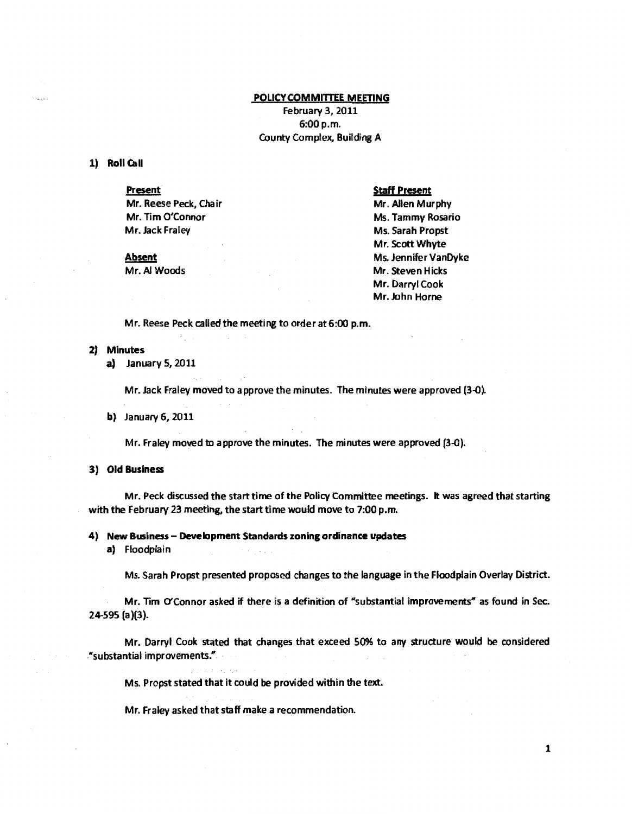# POLICY COMMITTEE MEETING

February 3, 2011 6:00p.m. County Complex, Building A

## 1) Roll Call

#### Present

Mr. Reese Peck, Chair Mr. Tim O'Connor Mr. Jack Fraley

## <u>Absent</u>

Mr. AI Woods

# Staff Present

Mr. Allen Murphy Ms. Tammy Rosario Ms. Sarah Propst Mr. Scott Whyte Ms. Jennifer VanDyke Mr. Steven Hicks Mr. Darryl Cook Mr. John Horne

Mr. Reese Peck called the meeting to order at 6:00 p.m.

## 2) Minutes

a) January 5, 2011

Mr. Jack Fraley moved to approve the minutes. The minutes were approved (3-0).

b) January 6, 2011

Mr. Fraley moved to approve the minutes. The minutes were approved (3-0).

## 3) Old Business

Mr. Peck discussed the start time of the Policy Committee meetings. It was agreed that starting with the February 23 meeting, the start time would move to 7:00 p.m.

#### 4) New Business - Development Standards zoning ordinance updates

a) Floodplain

Ms. Sarah Propst presented proposed changes to the language in the Floodplain Overlay District.

Mr. Tim O'Connor asked if there is a definition of "substantial improvements" as found in Sec. 24-595 (a)(3).

Mr. Darryl Cook stated that changes that exceed 50% to any structure would be considered ."substantial improvements." ·

Ms. Propst stated that it could be provided within the text.

Mr. Fraley asked that staff make a recommendation.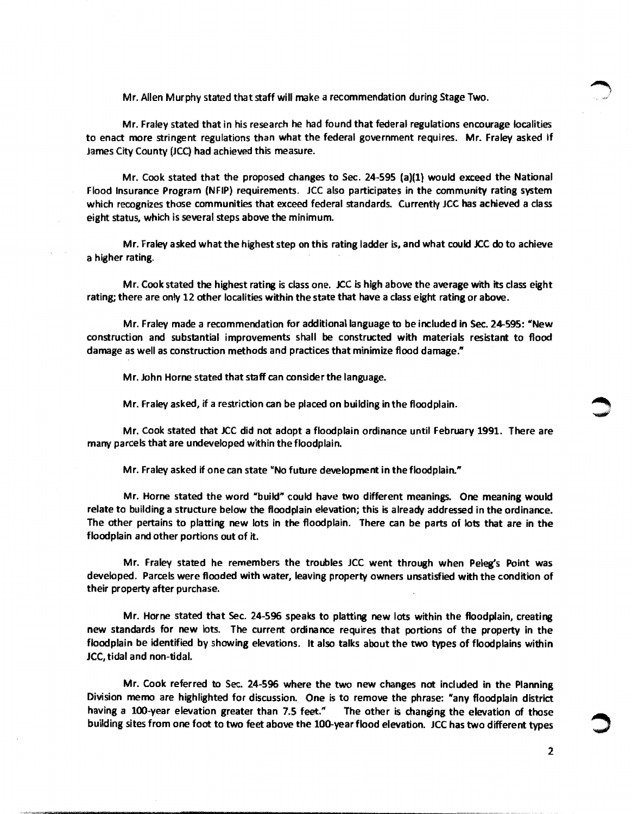Mr. Allen Murphy stated that staff will make a recommendation during Stage Two.

Mr. Fraley stated that in his research he had found that federal regulations encourage localities to enact more stringent regulations than what the federal government requires. Mr. Fraley asked if James City County (JCQ had achieved this measure.

Mr. Cook stated that the proposed changes to Sec. 24-595 (a)(l) would exceed the National Flood Insurance Program {NFIP) requirements. JCC also participates in the community rating system which recognizes those communities that exceed federal standards. Currently JCC has achieved a class eight status, which is several steps above the minimum.

Mr. Fraley asked what the highest step on this rating ladder is, and what could JCC do to achieve a higher rating.

Mr. Cook stated the highest rating is class one. JCC is high above the average with its class eight rating; there are only 12 other localities within the state that have a class eight rating or above.

Mr. Fraley made a recommendation for additional language to be included in Sec. 24-595: "New construction and substantial improvements shall be constructed with materials resistant to flood damage as well as construction methods and practices that minimize flood damage."

Mr. John Horne stated that staff can consider the language.

Mr. Fraley asked, if a restriction can be placed on building in the floodplain.

Mr. Cook stated that JCC did not adopt a floodplain ordinance until February 1991. There are many parcels that are undeveloped within the floodplain.

Mr. Fraley asked if one can state "'No future development in the floodplain."

Mr. Horne stated the word "build" could have two different meanings. One meaning would relate to building a structure below the floodplain elevation; this is already addressed in the ordinance. The other pertains to platting new lots in the floodplain. There can be parts of lots that are in the floodplain and other portions out of it.

Mr. Fraley stated he remembers the troubles JCC went through when Peleg's Point was developed. Parcels were flooded with water, leaving property owners unsatisfied with the condition of their property after purchase.

Mr. Horne stated that Sec. 24-596 speaks to platting new lots within the floodplain, creating new standards for new lots. The current ordinance requires that portions of the property in the floodplain be identified by showing elevations. It also talks about the two types of floodplains within JCC, tidal and non-tidal.

Mr. Cook referred to Sec. 24-596 where the two new changes not included in the Planning Division memo are highlighted for discussion. One is to remove the phrase: "any floodplain district having a 100-year elevation greater than 7.5 feet." The other is changing the elevation of those building sites from one foot to two feet above the 100-year flood elevation. JCC has two different types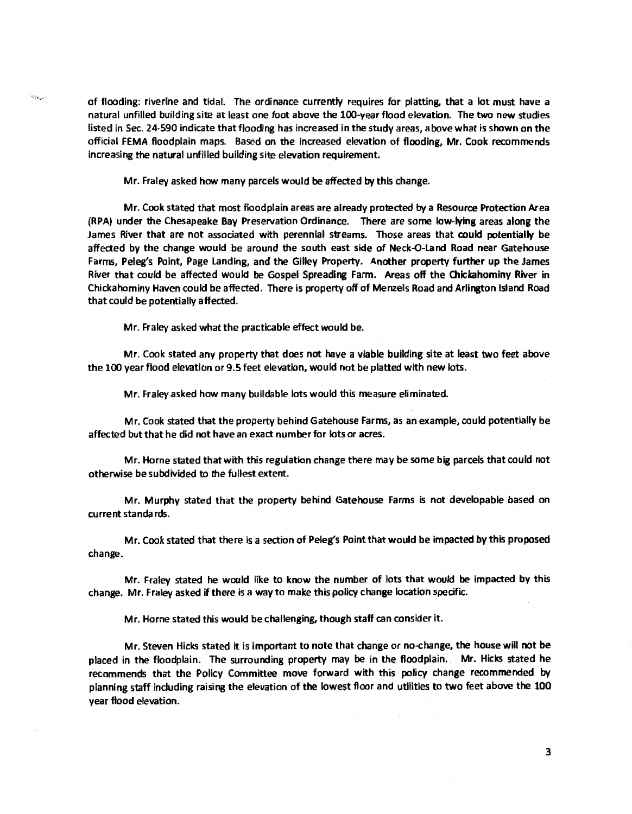of flooding: riverine and tidal. The ordinance currently requires for platting, that a lot must have a natural unfilled building site at least one foot above the 100-year flood elevation. The two new studies listed in Sec. 24-590 indicate that flooding has increased in the study areas, above what is shown on the official FEMA floodplain maps. Based on the increased elevation of flooding, Mr. Cook recommends increasing the natural unfilled building site elevation requirement.

Mr. Fraley asked how many parcels would be affected by this change.

Mr. Cook stated that most floodplain areas are already protected by a Resource Protection Area (RPA) under the Chesapeake Bay Preservation Ordinance. There are some low-lying areas along the James River that are not associated with perennial streams. Those areas that could potentially be affected by the change would be around the south east side of Neck-Q-land Road near Gatehouse farms, Peleg's Point, Page Landing, and the Gilley Property. Another property further up the James River that could be affected would be Gospel Spreading Farm. Areas off the Chickahominy River in Chickahominy Haven could be affected. There is property off of Menzels Road and Arlington Island Road that could be potentially affected.

Mr. Fraley asked what the practicable effect would be.

 $\sim 10$ 

Mr. Cook stated any property that does not have a viable building site at least two feet above the 100 year flood elevation or 9.5 feet elevation, would not be platted with new lots.

Mr. Fraley asked how many buildable lots would this measure eliminated.

Mr. Cook stated that the property behind Gatehouse farms, as an example, could potentially be affected but that he did not have an exact number for lots or acres.

Mr. Horne stated that with this regulation change there may be some big parcels that could not otherwise be subdivided to the fullest extent.

Mr. Murphy stated that the property behind Gatehouse Farms is not developable based on current standards.

Mr. Cook stated that there is a section of Peleg's Point that would be impacted by this proposed change.

Mr. Fraley stated he would like to know the number of lots that would be impacted by this change. Mr. Fraley asked if there is a way to make this policy change location specific.

Mr. Horne stated this would be challenging, though staff can consider it.

Mr. Steven Hicks stated it is important to note that change or no-change, the house will not be placed in the floodplain. The surrounding property may be in the floodplain. Mr. Hicks stated he recommends that the Policy Committee move forward with this policy change recommended by planning staff including raising the elevation of the lowest floor and utilities to two feet above the 100 year flood elevation.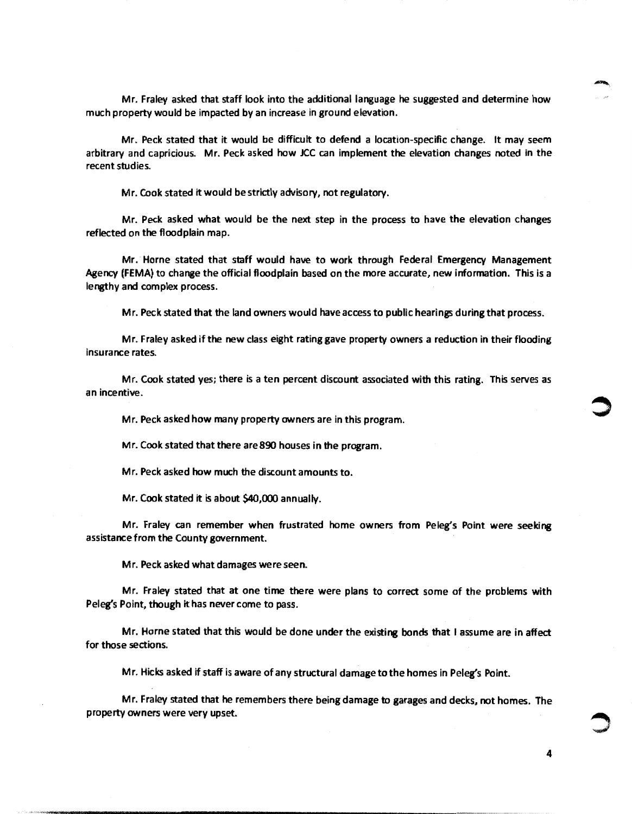Mr. Fraley asked that staff look into the additional language he suggested and determine how much property would be impacted by an increase in ground elevation.

Mr. Peck stated that it would be difficult to defend a location-specific change. It may seem arbitrary and capricious. Mr. Peck asked how JCC can implement the elevation changes noted in the recent studies.

Mr. Cook stated it would be strictly advisory, not regulatory.

Mr. Peck asked what would be the next step in the process to have the elevation changes reflected on the floodplain map.

Mr. Horne stated that staff would have to work through Federal Emergency Management Agency (FEMA) to change the official floodplain based on the more accurate, new information. This is a lengthy and complex process.

Mr. Peck stated that the land owners would have access to public hearings during that process.

Mr. Fraley asked if the new class eight rating gave property owners a reduction in their flooding insurance rates.

Mr. Cook stated yes; there is a ten percent discount associated with this rating. This serves as an incentive.

Mr. Peck asked how many property owners are in this program.

Mr. Cook stated that there are 890 houses in the program.

Mr. Peck asked how much the discount amounts to.

Mr. Cook stated it is about \$40,000 annually.

Mr. Fraley can remember when frustrated home owners from Peleg's Point were seeking assistance from the County government.

Mr. Peck asked what damages were seen.

Mr. Fraley stated that at one time there were plans to correct some of the problems with Peleg's Point, though it has never come to pass.

Mr. Horne stated that this would be done under the existing bonds that 1 assume are in affect for those sections.

Mr. Hicks asked if staff is aware of any structural damage to the homes in Peleg's Point.

Mr. Fraley stated that he remembers there being damage to garages and decks, not homes. The property owners were very upset.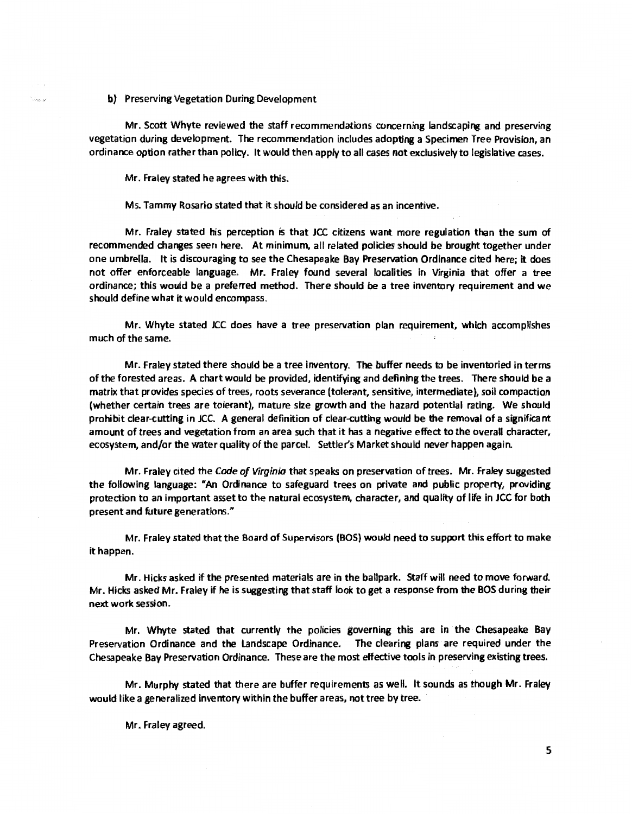b) Preserving Vegetation During Development

.<br>Series

Mr. Scott Whyte reviewed the staff recommendations concerning landscaping and preserving vegetation during development. The recommendation includes adopting a Specimen Tree Provision, an ordinance option rather than policy. It would then appty to all cases not exclusively to legislative cases.

Mr. Fraley stated he agrees with this.

Ms. Tammy Rosario stated that it should be considered as an incentive.

Mr. Fraley stated his perception is that JCC citizens want more regulation than the sum of recommended changes seen here. At minimum, all related policies should be brought together under one umbrella. It is discouraging to see the Chesapeake Bay Preservation Ordinance cited here; it does not offer enforceable language. Mr. Fraley found several localities in Virginia that offer a tree ordinance; this would be a preferred method. There should be a tree inventory requirement and we should define what it would encompass.

Mr. Whyte stated JCC does have a tree preservation plan requirement, which accomplishes much of the same.

Mr. Fraley stated there should be a tree inventory. The buffer needs to be inventoried in terms of the forested areas. A chart would be provided, identifying and defining the trees. There should be a matrix that provides species of trees, roots severance (tolerant, sensitive, intermediate), soil compaction (whether certain trees are tolerant), mature size growth and the hazard potential rating. We should prohibit clear-cutting in JCC. A general definition of clear-cutting would be the removal of a significant amount of trees and vegetation from an area such that it has a negative effect to the overall character, ecosystem, and/or the water quality of the parcel. Settler's Market should never happen again.

Mr. Fraley cited the Code of Virginia that speaks on preservation of trees. Mr. Fraley suggested the following language: "An Ordinance to safeguard trees on private and public property, providing protection to an important asset to the natural ecosystem, character, and quality of life in JCC for both present and future generations."

Mr. Fraley stated that the Board of Supervisors (BOS) would need to support this effort to make it happen.

Mr. Hicks asked if the presented materials are in the ballpark. Staff will need to move forward. Mr. Hicks asked Mr. Fraley if he is suggesting that staff look to get a response from the BOS during their next work session.

Mr. Whyte stated that currentty the policies governing this are in the Chesapeake Bay Preservation Ordinance and the landscape Ordinance. The clearing plans are required under the Chesapeake Bay Preservation Ordinance. These are the most effective tools in preserving existing trees.

Mr. Murphy stated that there are buffer requirements as well. It sounds as though Mr. Fraley would like a generalized inventory within the buffer areas, not tree by tree.

Mr. Fraley agreed.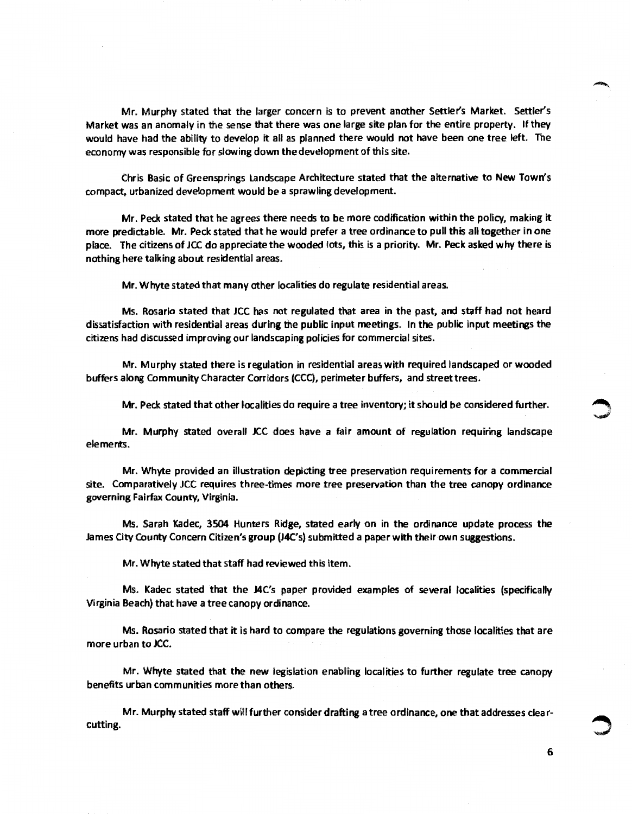Mr. Murphy stated that the larger concern is to prevent another Settler's Market. Settler's Market was an anomaly in the sense that there was one large site plan for the entire property. If they would have had the ability to develop it all as planned there would not have been one *tree* left. The economy was responsible for slowing down the development of this site.

Chris Basic of Greensprings landscape Architecture stated that the alternative to New Town's compact, urbanized development would be a sprawling development.

Mr. Peck stated that he agrees there needs to be more codification within the policy, making it more predictable. Mr. Peck stated that he would prefer a tree ordinance to pull this all together in one place. The citizens of JCC do appreciate the wooded lots, this is a priority. Mr. Peck asked why there is nothing here talking about residential areas.

Mr. Whyte stated that many other localities do regulate residential areas.

Ms. Rosario stated that JCC has not regulated that area in the past, and staff had not heard dissatisfaction with residential areas during the public input meetings. In the public input meetings the citizens had discussed improving our landscaping policies for commercial sites.

Mr. Murphy stated there is regulation in residential areas with required landscaped or wooded buffers along Community Character Corridors (CCC), perimeter buffers, and street trees.

Mr. Peck stated that other localities do require a tree inventory; it should be considered further. ~

Mr. Murphy stated overall JCC does have a fair amount of regulation requiring landscape elements.

Mr. Whyte provided an illustration depicting tree preservation requirements for a commercial site. Comparatively JCC requires three-times more tree preservation than the tree canopy ordinance governing Fairfax County, Virginia.

Ms. Sarah Kadec, 3504 Hunters Ridge, stated early on in the ordinance update process the James City County Concern Citizen's group (J4C's) submitted a paper with their own suggestions.

Mr. Whyte stated that staff had reviewed this item.

Ms. Kadec stated that the J4C's paper provided examples of several localities (specifically Virginia Beach) that have a tree canopy ordinance.

Ms. Rosario stated that it is hard to compare the regulations governing those localities that are more urban to JCC.

Mr. Whyte stated that the new legislation enabling localities to further regulate tree canopy benefits urban communities more than others.

Mr. Murphy stated staff will further consider drafting a tree ordinance, one that addresses clear-<br> **م** المستقبل الثانية بن المستقبل المستقبل المستقبل المستقبل المستقبل المستقبل المستقبل المستقبل المستقبل المستقبل ال<br>المست

6

..,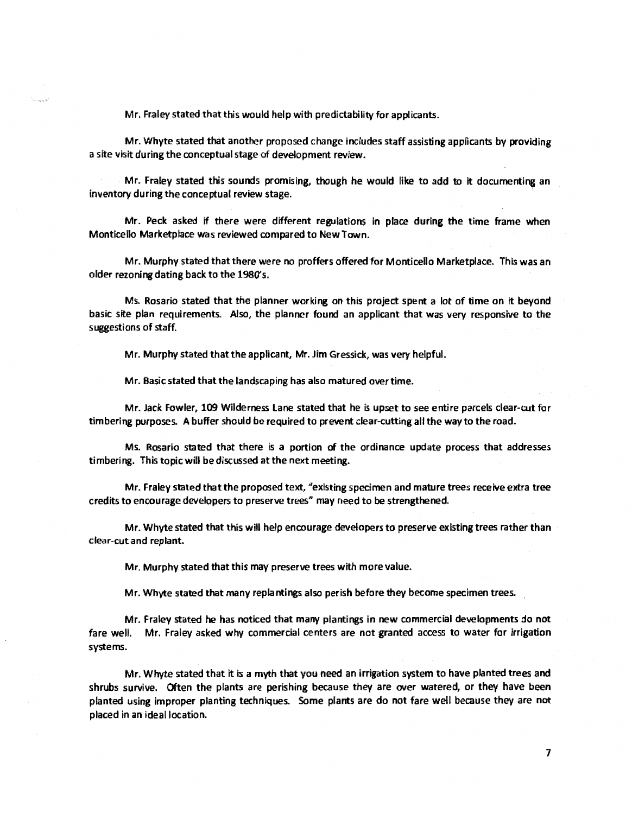Mr. Fraley stated that this would help with predictability for applicants.

Mr. Whyte stated that another proposed change includes staff assisting applicants by providing a site visit during the conceptual stage of development review.

Mr. Fraley stated this sounds promising, though he would like to add to it documenting an inventory during the conceptual review stage.

Mr. Peck asked if there were different regulations in place during the time frame when Monticello Marketplace was reviewed compared to NewTown.

Mr. Murphy stated that there were no proffers offered for Monticello Marketplace. This was an older rezoning dating back to the 1980's.

Ms. Rosario stated that the planner working on this project spent a lot of time on it beyond basic site plan requirements. Also, the planner found an applicant that was very responsive to the suggestions of staff.

Mr. Murphy stated that the applicant, Mr. Jim Gressick, was very helpful.

Mr. Basic stated that the landscaping has also matured over time.

Mr. Jack Fowler, 109 Wilderness Lane stated that he is upset to see entire parcels clear-cut for timbering purposes. A buffer should be required to prevent clear-cutting all the way to the road.

Ms. Rosario stated that there is a portion of the ordinance update process that addresses timbering. This topic will be discussed at the next meeting.

Mr. Fraley stated that the proposed text, "existing specimen and mature trees receive extra tree credits to encourage developers to preserve trees" may need to be strengthened.

Mr. Whyte stated that this will help encourage developers to preserve existing trees rather than clear-cut and replant.

Mr. Murphy stated that this may preserve trees with more value.

Mr. Whyte stated that many replantings also perish before they become specimen trees.

Mr. Fraley stated he has noticed that many plantings in new commercial developments do not fare well. Mr. Fraley asked why commercial centers are not granted access to water for irrigation systems.

Mr. Whyte stated that it is a myth that you need an irrigation system to have planted trees and shrubs survive. Often the plants are perishing because they are over watered, or they have been planted using improper planting techniques. Some plants are do not fare well because they are not placed in an ideal location.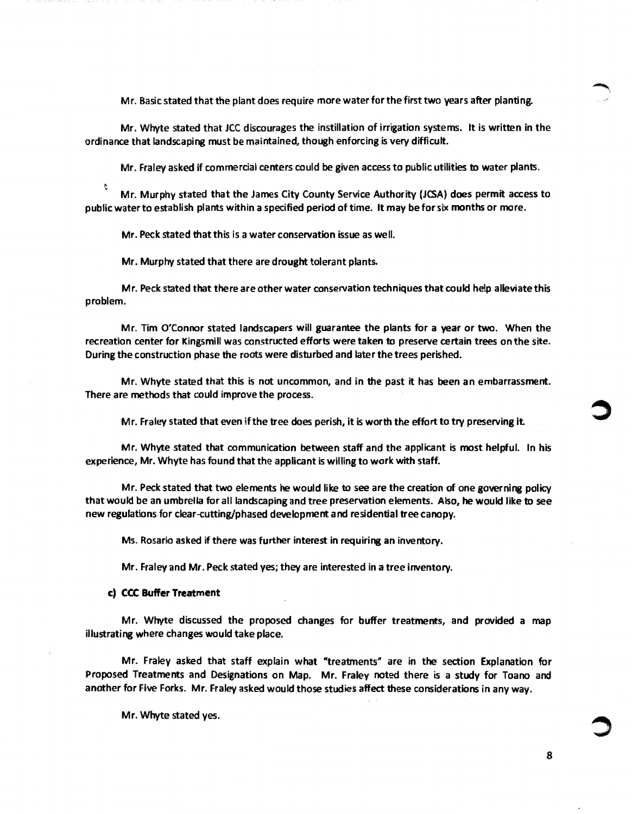Mr. Basic stated that the plant does require more water for the first two years after planting.

Mr. Whyte stated that JCC discourages the instillation of irrigation systems. It is written in the ordinance that landscaping must be maintained, though enforcing is very difficult.

Mr. Fraley asked if commercial centers could be given access to public utilities to water plants.

t Mr. Murphy stated that the James City County Service Authority (JCSA) does permit access to public water to establish plants within a specified period of time. It may be for six months or more.

Mr. Peck stated that this is a water conservation issue as well.

Mr. Murphy stated that there are drought tolerant plants.

Mr. Peck stated that there are other water conservation techniques that could help alleviate this problem.

Mr. Tim O'Connor stated landscapers will guarantee the plants for a year or two. When the recreation center for Kingsmill was constructed efforts were taken to preserve certain trees on the site. During the construction phase the roots were disturbed and later the trees perished.

Mr. Whyte stated that this is not uncommon, and in the past it has been an embarrassment. There are methods that could improve the process.

Mr. Fraley stated that even ifthe tree does perish, it is worth the effort to try preserving it

Mr. Whyte stated that communication between staff and the applicant is most helpful. In his experience, Mr. Whyte has found that the applicant is willing to work with staff.

Mr. Peck stated that two elements he would like to see are the creation of one governing policy that would be an umbrella for all landscaping and tree preservation elements. Also, he would like to see new regulations for clear-cutting/phased development and residential tree canopy.

Ms. Rosario asked if there was further interest in requiring an inventory.

Mr. Fraley and Mr. Peck stated yes; they are interested in a tree inventory.

## c) CCC Buffer Treatment

Mr. Whyte discussed the proposed changes for buffer treatments, and provided a map illustrating where changes would take place.

Mr. Fraley asked that staff explain what "treatments" are in the section Explanation for Proposed Treatments and Designations on Map. Mr. Fraley noted there is a study for Toano and another for Five Forks. Mr. Fraley asked would those studies affect these considerations in any way.

Mr. Whyte stated yes.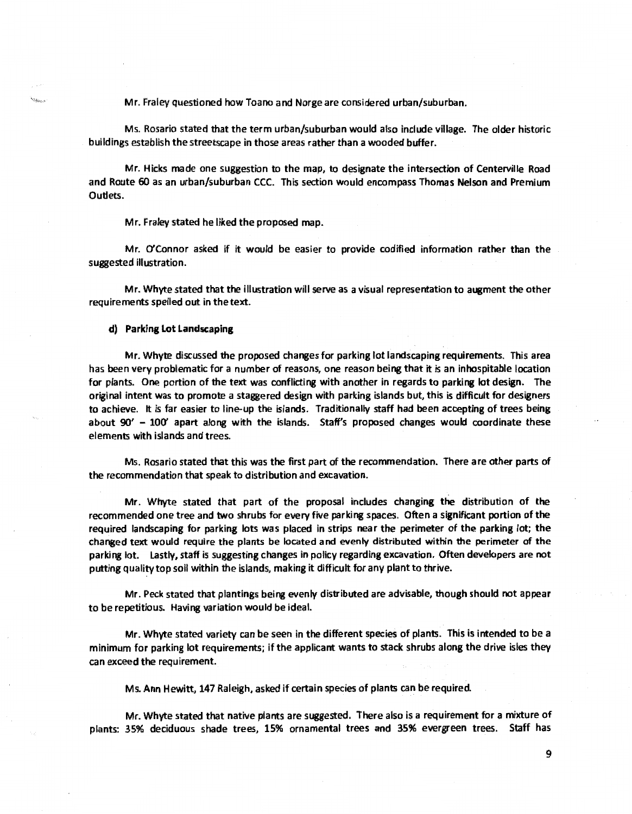Mr. Fraley questioned how Toano and Norge are considered urban/suburban.

Ms. Rosario stated that the term urban/suburban would also include village. The older historic buildings establish the streetscape in those areas rather than a wooded buffer.

Mr. Hicks made one suggestion to the map, to designate the intersection of Centerville Road and Route 60 as an urban/suburban CCC. This section would encompass Thomas Nelson and Premium Outlets.

Mr. Fraley stated he liked the proposed map.

Mr. O'Connor asked if it would be easier to provide codified information rather than the suggested illustration.

Mr. Whyte stated that the illustration will serve as a visual representation to augment the other requirements spelled out in the text.

d) Parking Lot Landscaping

**MARINE** 

Mr. Whyte discussed the proposed changes for parking lot landscaping requirements. This area has been very problematic for a number of reasons, one reason being that it is an inhospitable location for plants. One portion of the text was conflicting with another in regards to parking lot design. The original intent was to promote a staggered design with parking islands but, this is difficult for designers to achieve. It is far easier to line-up the islands. Traditionally staff had been accepting of trees being about 90' - 100' apart along with the islands. Staff's proposed changes would coordinate these elements with islands and trees.

Ms. Rosario stated that this was the first part of the recommendation. There are other parts of the recommendation that speak to distribution and excavation.

Mr. Whyte stated that part of the proposal includes changing the distribution of the recommended one tree and two shrubs for every five parking spaces. Often a significant portion of the required landscaping for parking lots was placed in strips near the perimeter of the parking lot; the changed text would require the plants be located and evenly distributed within the perimeter of the parking lot. lastly, staff is suggesting changes in policy regarding excavation. Often developers are not putting quality top soil within the islands, making it difficult for any plant to thrive.

Mr. Peck stated that plantings being evenly distributed are advisable, though should not appear to be repetitious. Having variation would be ideal.

Mr. Whyte stated variety can be seen in the different species of plants. This is intended to be a minimum for parking lot requirements; if the applicant wants to stack shrubs along the drive isles they can exceed the requirement.

Ms. Ann Hewitt, 147 Raleigh, asked if certain species of plants can be required.

Mr. Whyte stated that native plants are suggested. There also is a requirement for a mixture of plants: 35% deciduous shade trees, 15% ornamental trees and 35% evergreen trees. Staff has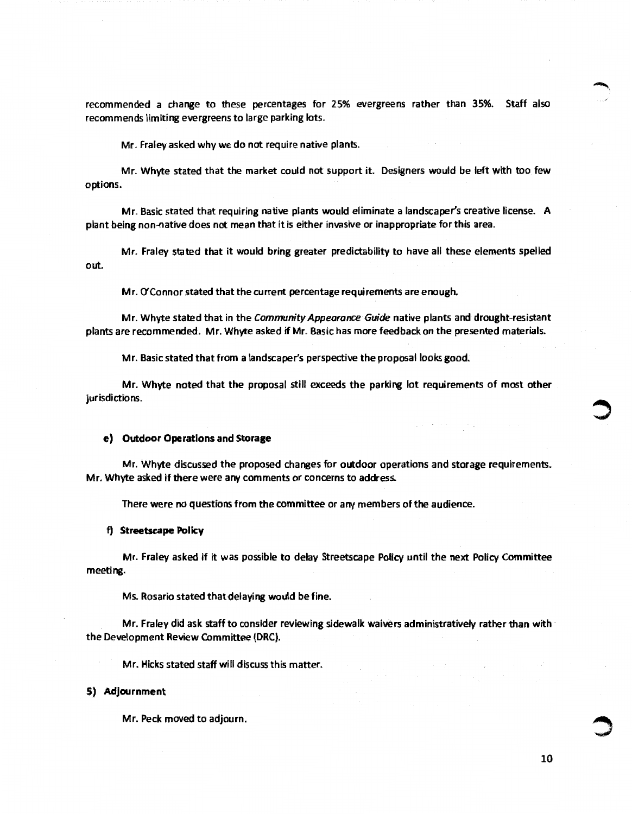recommended a change to these percentages for 25% evergreens rather than 35%. Staff also recommends limiting evergreens to large parking lots.

Mr. Fraley asked why we do not require native plants.

Mr. Whyte stated that the market could not support it. Designers would be left with too few options.

Mr. Basic stated that requiring native plants would eliminate a landscaper's creative license. A plant being non-native does not mean that it is either invasive or inappropriate for this area.

Mr. Fraley stated that it would bring greater predictability to have all these elements spelled out.

Mr. O'Connor stated that the current percentage requirements are enough.

Mr. Whyte stated that in the Community Appearance Guide native plants and drought-resistant plants are recommended. Mr. Whyte asked if Mr. Basic has more feedback on the presented materials.

Mr. Basic stated that from a landscaper's perspective the proposal looks good.

Mr. Whyte noted that the proposal still exceeds the parking lot requirements of most other jurisdictions.

 $\gamma_{\rm L}$  is a contract of  $\gamma$ 

### **e)** Outdoor Operations and Storage

Mr. Whyte discussed the proposed changes for outdoor operations and storage requirements. Mr. Whyte asked if there were any comments or concerns to address.

There were no questions from the committee or any members of the audience.

## **f)** Streetscape Policy

Mr. Fraley asked if it was possible to delay Streetscape Policy until the next Policy Committee meeting.

Ms. Rosario stated that delaying would be fine.

Mr. Fraley did ask staff to consider reviewing sidewalk waivers administratively rather than with the the Development Review Committee (ORC).

Mr. Hicks stated staff will discuss this matter.

#### **S) Adjournment**

Mr. Peck moved to adjourn.